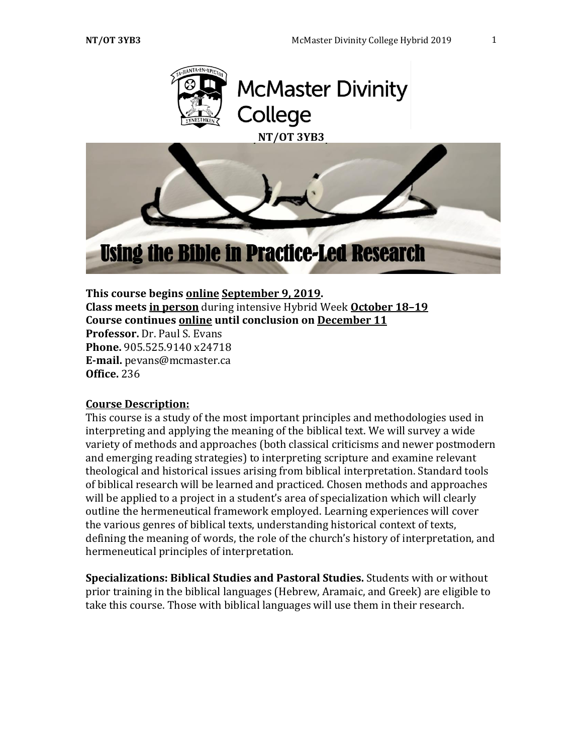

### **This course begins online September 9, 2019.**

**Class meets in person** during intensive Hybrid Week **October 18–19 Course continues online until conclusion on December 11**

**Professor.** Dr. Paul S. Evans **Phone.** 905.525.9140 x24718 **E-mail.** pevans@mcmaster.ca **Office.** 236

#### **Course Description:**

This course is a study of the most important principles and methodologies used in interpreting and applying the meaning of the biblical text. We will survey a wide variety of methods and approaches (both classical criticisms and newer postmodern and emerging reading strategies) to interpreting scripture and examine relevant theological and historical issues arising from biblical interpretation. Standard tools of biblical research will be learned and practiced. Chosen methods and approaches will be applied to a project in a student's area of specialization which will clearly outline the hermeneutical framework employed. Learning experiences will cover the various genres of biblical texts, understanding historical context of texts, defining the meaning of words, the role of the church's history of interpretation, and hermeneutical principles of interpretation.

**Specializations: Biblical Studies and Pastoral Studies.** Students with or without prior training in the biblical languages (Hebrew, Aramaic, and Greek) are eligible to take this course. Those with biblical languages will use them in their research.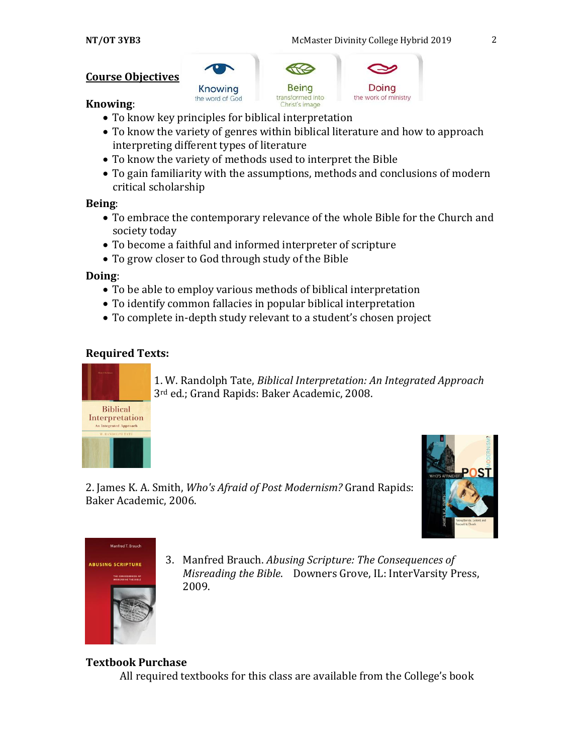# **Course Objectives**







### **Knowing**:

- To know key principles for biblical interpretation
- To know the variety of genres within biblical literature and how to approach interpreting different types of literature
- To know the variety of methods used to interpret the Bible
- To gain familiarity with the assumptions, methods and conclusions of modern critical scholarship

# **Being**:

- To embrace the contemporary relevance of the whole Bible for the Church and society today
- To become a faithful and informed interpreter of scripture
- To grow closer to God through study of the Bible

# **Doing**:

- To be able to employ various methods of biblical interpretation
- To identify common fallacies in popular biblical interpretation
- To complete in-depth study relevant to a student's chosen project

# **Required Texts:**



1. W. Randolph Tate, *Biblical Interpretation: An Integrated Approach*  3rd ed.; Grand Rapids: Baker Academic, 2008.







3. Manfred Brauch. *Abusing Scripture: The Consequences of Misreading the Bible*. Downers Grove, IL: InterVarsity Press, 2009.

# **Textbook Purchase**

All required textbooks for this class are available from the College's book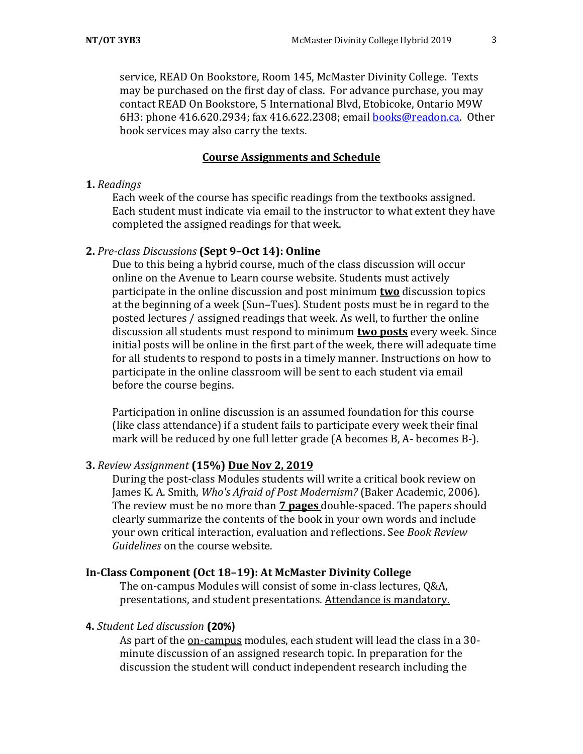service, READ On Bookstore, Room 145, McMaster Divinity College. Texts may be purchased on the first day of class. For advance purchase, you may contact READ On Bookstore, 5 International Blvd, Etobicoke, Ontario M9W 6H3: phone 416.620.2934; fax 416.622.2308; email [books@readon.ca.](mailto:books@readon.ca) Other book services may also carry the texts.

### **Course Assignments and Schedule**

#### **1.** *Readings*

Each week of the course has specific readings from the textbooks assigned. Each student must indicate via email to the instructor to what extent they have completed the assigned readings for that week.

### **2.** *Pre-class Discussions* **(Sept 9–Oct 14): Online**

Due to this being a hybrid course, much of the class discussion will occur online on the Avenue to Learn course website. Students must actively participate in the online discussion and post minimum **two** discussion topics at the beginning of a week (Sun–Tues). Student posts must be in regard to the posted lectures / assigned readings that week. As well, to further the online discussion all students must respond to minimum **two posts** every week. Since initial posts will be online in the first part of the week, there will adequate time for all students to respond to posts in a timely manner. Instructions on how to participate in the online classroom will be sent to each student via email before the course begins.

Participation in online discussion is an assumed foundation for this course (like class attendance) if a student fails to participate every week their final mark will be reduced by one full letter grade (A becomes B, A- becomes B-).

#### **3.** *Review Assignment* **(15%) Due Nov 2, 2019**

During the post-class Modules students will write a critical book review on James K. A. Smith, *Who's Afraid of Post Modernism?* (Baker Academic, 2006)*.* The review must be no more than **7 pages** double-spaced. The papers should clearly summarize the contents of the book in your own words and include your own critical interaction, evaluation and reflections. See *Book Review Guidelines* on the course website.

# **In-Class Component (Oct 18–19): At McMaster Divinity College**

The on-campus Modules will consist of some in-class lectures, Q&A, presentations, and student presentations. Attendance is mandatory.

#### **4.** *Student Led discussion* **(20%)**

As part of the on-campus modules, each student will lead the class in a 30 minute discussion of an assigned research topic. In preparation for the discussion the student will conduct independent research including the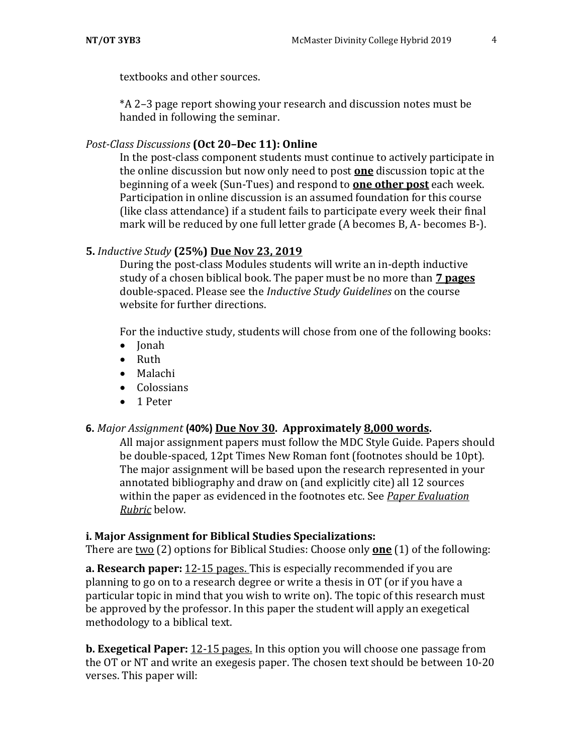textbooks and other sources.

\*A 2–3 page report showing your research and discussion notes must be handed in following the seminar.

### *Post-Class Discussions* **(Oct 20–Dec 11): Online**

In the post-class component students must continue to actively participate in the online discussion but now only need to post **one** discussion topic at the beginning of a week (Sun-Tues) and respond to **one other post** each week. Participation in online discussion is an assumed foundation for this course (like class attendance) if a student fails to participate every week their final mark will be reduced by one full letter grade (A becomes B, A- becomes B-).

# **5.** *Inductive Study* **(25%) Due Nov 23, 2019**

During the post-class Modules students will write an in-depth inductive study of a chosen biblical book. The paper must be no more than **7 pages**  double-spaced. Please see the *Inductive Study Guidelines* on the course website for further directions.

For the inductive study, students will chose from one of the following books:

- Jonah
- Ruth
- Malachi
- Colossians
- 1 Peter

# **6.** *Major Assignment* **(40%) Due Nov 30. Approximately 8,000 words.**

All major assignment papers must follow the MDC Style Guide. Papers should be double-spaced, 12pt Times New Roman font (footnotes should be 10pt). The major assignment will be based upon the research represented in your annotated bibliography and draw on (and explicitly cite) all 12 sources within the paper as evidenced in the footnotes etc. See *Paper Evaluation Rubric* below.

# **i. Major Assignment for Biblical Studies Specializations:**

There are two (2) options for Biblical Studies: Choose only **one** (1) of the following:

**a. Research paper:** 12-15 pages. This is especially recommended if you are planning to go on to a research degree or write a thesis in OT (or if you have a particular topic in mind that you wish to write on). The topic of this research must be approved by the professor. In this paper the student will apply an exegetical methodology to a biblical text.

**b. Exegetical Paper:** 12-15 pages. In this option you will choose one passage from the OT or NT and write an exegesis paper. The chosen text should be between 10-20 verses. This paper will: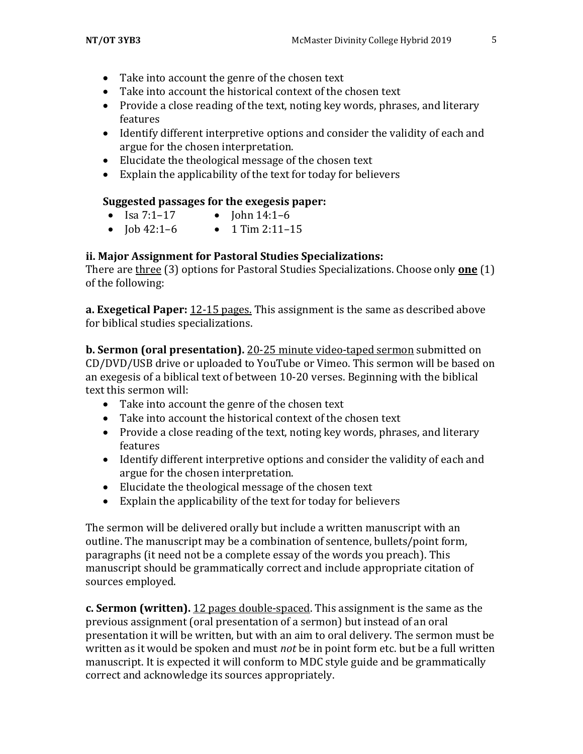- Take into account the genre of the chosen text
- Take into account the historical context of the chosen text
- Provide a close reading of the text, noting key words, phrases, and literary features
- Identify different interpretive options and consider the validity of each and argue for the chosen interpretation.
- Elucidate the theological message of the chosen text
- Explain the applicability of the text for today for believers

# **Suggested passages for the exegesis paper:**

- Isa  $7:1-17$  John  $14:1-6$
- $\bullet$   $\text{Job } 42:1-6$   $\bullet$  1 Tim 2:11-15

# **ii. Major Assignment for Pastoral Studies Specializations:**

There are three (3) options for Pastoral Studies Specializations. Choose only **one** (1) of the following:

**a. Exegetical Paper:** 12-15 pages. This assignment is the same as described above for biblical studies specializations.

**b. Sermon (oral presentation).** 20-25 minute video-taped sermon submitted on CD/DVD/USB drive or uploaded to YouTube or Vimeo. This sermon will be based on an exegesis of a biblical text of between 10-20 verses. Beginning with the biblical text this sermon will:

- Take into account the genre of the chosen text
- Take into account the historical context of the chosen text
- Provide a close reading of the text, noting key words, phrases, and literary features
- Identify different interpretive options and consider the validity of each and argue for the chosen interpretation.
- Elucidate the theological message of the chosen text
- Explain the applicability of the text for today for believers

The sermon will be delivered orally but include a written manuscript with an outline. The manuscript may be a combination of sentence, bullets/point form, paragraphs (it need not be a complete essay of the words you preach). This manuscript should be grammatically correct and include appropriate citation of sources employed.

**c. Sermon (written).** 12 pages double-spaced. This assignment is the same as the previous assignment (oral presentation of a sermon) but instead of an oral presentation it will be written, but with an aim to oral delivery. The sermon must be written as it would be spoken and must *not* be in point form etc. but be a full written manuscript. It is expected it will conform to MDC style guide and be grammatically correct and acknowledge its sources appropriately.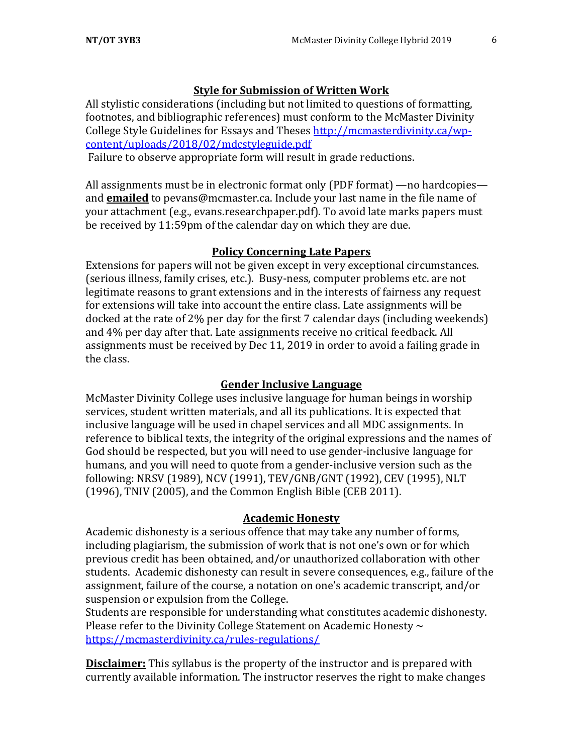### **Style for Submission of Written Work**

All stylistic considerations (including but not limited to questions of formatting, footnotes, and bibliographic references) must conform to the McMaster Divinity College Style Guidelines for Essays and Theses http://mcmasterdivinity.ca/wpcontent/uploads/2018/02/mdcstyleguide.pdf

Failure to observe appropriate form will result in grade reductions.

All assignments must be in electronic format only (PDF format) —no hardcopies and **emailed** to pevans@mcmaster.ca. Include your last name in the file name of your attachment (e.g., evans.researchpaper.pdf). To avoid late marks papers must be received by 11:59pm of the calendar day on which they are due.

#### **Policy Concerning Late Papers**

Extensions for papers will not be given except in very exceptional circumstances. (serious illness, family crises, etc.). Busy-ness, computer problems etc. are not legitimate reasons to grant extensions and in the interests of fairness any request for extensions will take into account the entire class. Late assignments will be docked at the rate of 2% per day for the first 7 calendar days (including weekends) and 4% per day after that. Late assignments receive no critical feedback. All assignments must be received by Dec 11, 2019 in order to avoid a failing grade in the class.

#### **Gender Inclusive Language**

McMaster Divinity College uses inclusive language for human beings in worship services, student written materials, and all its publications. It is expected that inclusive language will be used in chapel services and all MDC assignments. In reference to biblical texts, the integrity of the original expressions and the names of God should be respected, but you will need to use gender-inclusive language for humans, and you will need to quote from a gender-inclusive version such as the following: NRSV (1989), NCV (1991), TEV/GNB/GNT (1992), CEV (1995), NLT (1996), TNIV (2005), and the Common English Bible (CEB 2011).

#### **Academic Honesty**

Academic dishonesty is a serious offence that may take any number of forms, including plagiarism, the submission of work that is not one's own or for which previous credit has been obtained, and/or unauthorized collaboration with other students. Academic dishonesty can result in severe consequences, e.g., failure of the assignment, failure of the course, a notation on one's academic transcript, and/or suspension or expulsion from the College.

Students are responsible for understanding what constitutes academic dishonesty. Please refer to the Divinity College Statement on Academic Honesty  $\sim$ <https://mcmasterdivinity.ca/rules-regulations/>

**Disclaimer:** This syllabus is the property of the instructor and is prepared with currently available information. The instructor reserves the right to make changes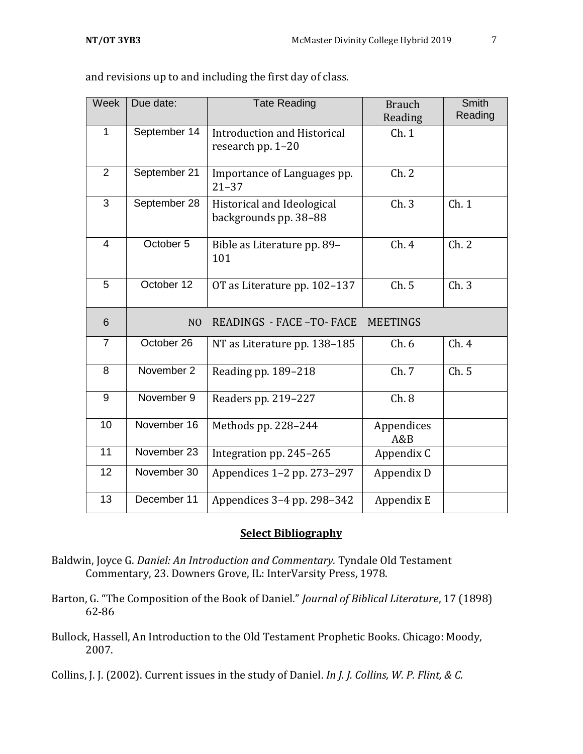| Week           | Due date:      | <b>Tate Reading</b>                                 | <b>Brauch</b><br>Reading | <b>Smith</b><br>Reading |
|----------------|----------------|-----------------------------------------------------|--------------------------|-------------------------|
| 1              | September 14   | Introduction and Historical<br>research pp. 1-20    | Ch.1                     |                         |
| $\overline{2}$ | September 21   | Importance of Languages pp.<br>$21 - 37$            | Ch. 2                    |                         |
| 3              | September 28   | Historical and Ideological<br>backgrounds pp. 38-88 | Ch.3                     | Ch.1                    |
| $\overline{4}$ | October 5      | Bible as Literature pp. 89-<br>101                  | Ch.4                     | Ch.2                    |
| 5              | October 12     | OT as Literature pp. 102-137                        | Ch.5                     | Ch.3                    |
| 6              | N <sub>O</sub> | READINGS - FACE -TO- FACE                           | <b>MEETINGS</b>          |                         |
| $\overline{7}$ | October 26     | NT as Literature pp. 138-185                        | Ch.6                     | Ch.4                    |
| 8              | November 2     | Reading pp. 189-218                                 | Ch. 7                    | Ch.5                    |
| 9              | November 9     | Readers pp. 219-227                                 | Ch.8                     |                         |
| 10             | November 16    | Methods pp. 228-244                                 | Appendices<br>A&B        |                         |
| 11             | November 23    | Integration pp. 245-265                             | Appendix C               |                         |
| 12             | November 30    | Appendices 1-2 pp. 273-297                          | Appendix D               |                         |
| 13             | December 11    | Appendices 3-4 pp. 298-342                          | Appendix E               |                         |

and revisions up to and including the first day of class.

# **Select Bibliography**

- Baldwin, Joyce G. *Daniel: An Introduction and Commentary.* Tyndale Old Testament Commentary, 23. Downers Grove, IL: InterVarsity Press, 1978.
- Barton, G. "The Composition of the Book of Daniel." *Journal of Biblical Literature*, 17 (1898) 62-86
- Bullock, Hassell, An Introduction to the Old Testament Prophetic Books. Chicago: Moody, 2007.

Collins, J. J. (2002). Current issues in the study of Daniel. *In J. J. Collins, W. P. Flint, & C.*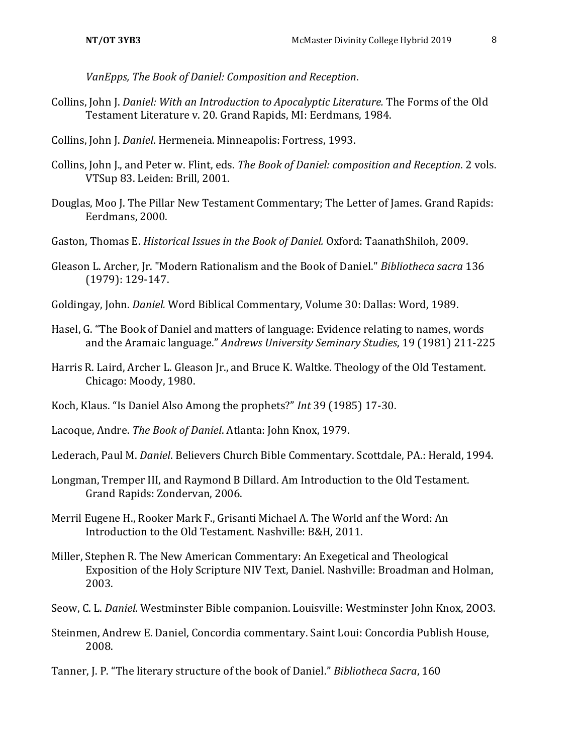*VanEpps, The Book of Daniel: Composition and Reception*.

- Collins, John J. *Daniel: With an Introduction to Apocalyptic Literature.* The Forms of the Old Testament Literature v. 20. Grand Rapids, MI: Eerdmans, 1984.
- Collins, John J. *Daniel*. Hermeneia. Minneapolis: Fortress, 1993.
- Collins, John J., and Peter w. Flint, eds. *The Book of Daniel: composition and Reception*. 2 vols. VTSup 83. Leiden: Brill, 2001.
- Douglas, Moo J. The Pillar New Testament Commentary; The Letter of James. Grand Rapids: Eerdmans, 2000.
- Gaston, Thomas E. *Historical Issues in the Book of Daniel.* Oxford: TaanathShiloh, 2009.
- Gleason L. Archer, Jr. "Modern Rationalism and the Book of Daniel." *Bibliotheca sacra* 136 (1979): 129-147.
- Goldingay, John. *Daniel.* Word Biblical Commentary, Volume 30: Dallas: Word, 1989.
- Hasel, G. "The Book of Daniel and matters of language: Evidence relating to names, words and the Aramaic language." *Andrews University Seminary Studies*, 19 (1981) 211-225
- Harris R. Laird, Archer L. Gleason Jr., and Bruce K. Waltke. Theology of the Old Testament. Chicago: Moody, 1980.
- Koch, Klaus. "Is Daniel Also Among the prophets?" *Int* 39 (1985) 17-30.
- Lacoque, Andre. *The Book of Daniel*. Atlanta: John Knox, 1979.
- Lederach, Paul M. *Daniel*. Believers Church Bible Commentary. Scottdale, PA.: Herald, 1994.
- Longman, Tremper III, and Raymond B Dillard. Am Introduction to the Old Testament. Grand Rapids: Zondervan, 2006.
- Merril Eugene H., Rooker Mark F., Grisanti Michael A. The World anf the Word: An Introduction to the Old Testament. Nashville: B&H, 2011.
- Miller, Stephen R. The New American Commentary: An Exegetical and Theological Exposition of the Holy Scripture NIV Text, Daniel. Nashville: Broadman and Holman, 2003.
- Seow, C. L. *Daniel*. Westminster Bible companion. Louisville: Westminster John Knox, 2OO3.
- Steinmen, Andrew E. Daniel, Concordia commentary. Saint Loui: Concordia Publish House, 2008.

Tanner, J. P. "The literary structure of the book of Daniel." *Bibliotheca Sacra*, 160